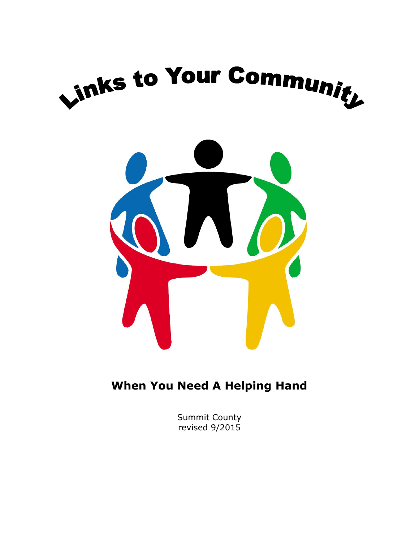



**When You Need A Helping Hand**

Summit County revised 9/2015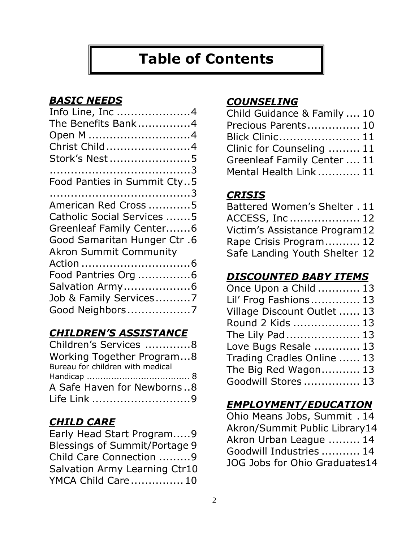# **Table of Contents**

### *BASIC NEEDS*

| Info Line, Inc 4                   |
|------------------------------------|
| The Benefits Bank4                 |
| Open M 4                           |
| Christ Child4                      |
| Stork's Nest 5                     |
|                                    |
| Food Panties in Summit Cty5        |
|                                    |
| American Red Cross 5               |
| Catholic Social Services 5         |
| Greenleaf Family Center6           |
| <b>Good Samaritan Hunger Ctr.6</b> |
| <b>Akron Summit Community</b>      |
|                                    |
| Food Pantries Org 6                |
| Salvation Army6                    |
| Job & Family Services7             |
| Good Neighbors7                    |
|                                    |

### *CHILDREN'S ASSISTANCE*

| Children's Services 8            |  |
|----------------------------------|--|
| Working Together Program8        |  |
| Bureau for children with medical |  |
|                                  |  |
| A Safe Haven for Newborns8       |  |
| Life Link 9                      |  |

### *CHILD CARE*

| Early Head Start Program9     |  |
|-------------------------------|--|
| Blessings of Summit/Portage 9 |  |
| Child Care Connection 9       |  |
| Salvation Army Learning Ctr10 |  |
| YMCA Child Care 10            |  |

### *COUNSELING*

| Child Guidance & Family  10 |  |
|-----------------------------|--|
| Precious Parents 10         |  |
| Blick Clinic 11             |  |
| Clinic for Counseling  11   |  |
| Greenleaf Family Center  11 |  |
| Mental Health Link  11      |  |

### *CRISIS*

| Battered Women's Shelter . 11 |  |
|-------------------------------|--|
| ACCESS, Inc 12                |  |
| Victim's Assistance Program12 |  |
| Rape Crisis Program 12        |  |
| Safe Landing Youth Shelter 12 |  |

### *DISCOUNTED BABY ITEMS*

| Once Upon a Child  13       |  |
|-----------------------------|--|
| Lil' Frog Fashions 13       |  |
| Village Discount Outlet  13 |  |
| Round 2 Kids  13            |  |
| The Lily Pad  13            |  |
| Love Bugs Resale  13        |  |
| Trading Cradles Online  13  |  |
| The Big Red Wagon 13        |  |
| Goodwill Stores  13         |  |
|                             |  |

### *EMPLOYMENT/EDUCATION*

Ohio Means Jobs, Summit . 14 Akron/Summit Public Library14 Akron Urban League ......... 14 Goodwill Industries ........... 14 JOG Jobs for Ohio Graduates14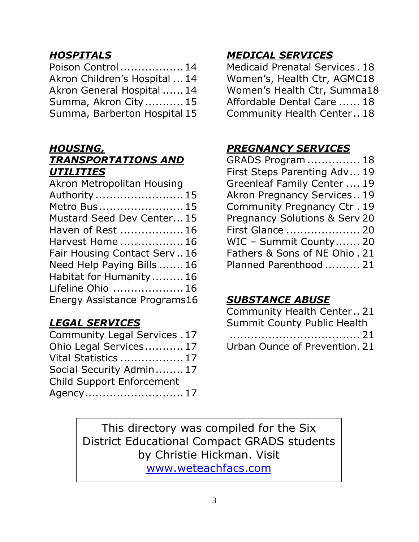## *HOSPITALS*

| Poison Control 14             |
|-------------------------------|
| Akron Children's Hospital  14 |
| Akron General Hospital  14    |
| Summa, Akron City 15          |
| Summa, Barberton Hospital 15  |
|                               |

### *HOUSING,*

### *TRANSPORTATIONS AND UTILITIES*

| Akron Metropolitan Housing   |
|------------------------------|
| Authority  15                |
| Metro Bus 15                 |
| Mustard Seed Dev Center 15   |
| Haven of Rest  16            |
| Harvest Home  16             |
| Fair Housing Contact Serv16  |
| Need Help Paying Bills  16   |
| Habitat for Humanity  16     |
| Lifeline Ohio  16            |
| Energy Assistance Programs16 |

## *LEGAL SERVICES*

| Community Legal Services . 17    |  |
|----------------------------------|--|
| Ohio Legal Services 17           |  |
| Vital Statistics  17             |  |
| Social Security Admin 17         |  |
| <b>Child Support Enforcement</b> |  |
|                                  |  |

## *MEDICAL SERVICES*

Medicaid Prenatal Services . 18 Women's, Health Ctr, AGMC18 Women's Health Ctr, Summa18 Affordable Dental Care ...... 18 Community Health Center .. 18

### *PREGNANCY SERVICES*

| <b>GRADS Program  18</b>                 |  |
|------------------------------------------|--|
| First Steps Parenting Adv 19             |  |
| Greenleaf Family Center  19              |  |
| Akron Pregnancy Services 19              |  |
| Community Pregnancy Ctr. 19              |  |
| <b>Pregnancy Solutions &amp; Serv 20</b> |  |
| First Glance  20                         |  |
| WIC - Summit County 20                   |  |
| Fathers & Sons of NE Ohio. 21            |  |
| Planned Parenthood  21                   |  |
|                                          |  |

## *SUBSTANCE ABUSE*

| Community Health Center 21         |
|------------------------------------|
| <b>Summit County Public Health</b> |
|                                    |
| Urban Ounce of Prevention. 21      |

This directory was compiled for the Six District Educational Compact GRADS students by Christie Hickman. Visit [www.weteachfacs.com](http://www.weteachfacs.com/)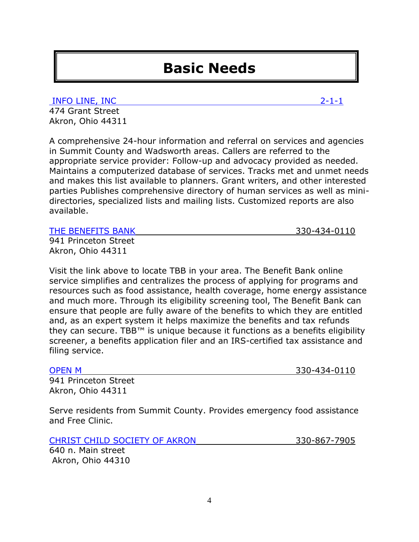# **Basic Needs**

[INFO LINE, INC](http://www.infolineinc.org/) 2-1-1

474 Grant Street Akron, Ohio 44311

A comprehensive 24-hour information and referral on services and agencies in Summit County and Wadsworth areas. Callers are referred to the appropriate service provider: Follow-up and advocacy provided as needed. Maintains a computerized database of services. Tracks met and unmet needs and makes this list available to planners. Grant writers, and other interested parties Publishes comprehensive directory of human services as well as minidirectories, specialized lists and mailing lists. Customized reports are also available.

[THE BENEFITS BANK](http://www.thebenefitbank.org/online-services/) 330-434-0110

941 Princeton Street Akron, Ohio 44311

Visit the link above to locate TBB in your area. The Benefit Bank online service simplifies and centralizes the process of applying for programs and resources such as food assistance, health coverage, home energy assistance and much more. Through its eligibility screening tool, The Benefit Bank can ensure that people are fully aware of the benefits to which they are entitled and, as an expert system it helps maximize the benefits and tax refunds they can secure. TBB™ is unique because it functions as a benefits eligibility screener, a benefits application filer and an IRS-certified tax assistance and filing service.

[OPEN M](http://www.openm.org/) 330-434-0110

941 Princeton Street Akron, Ohio 44311

Serve residents from Summit County. Provides emergency food assistance and Free Clinic.

[CHRIST CHILD SOCIETY OF AKRON](http://www.christchildsocietyakron.org/) 330-867-7905

640 n. Main street Akron, Ohio 44310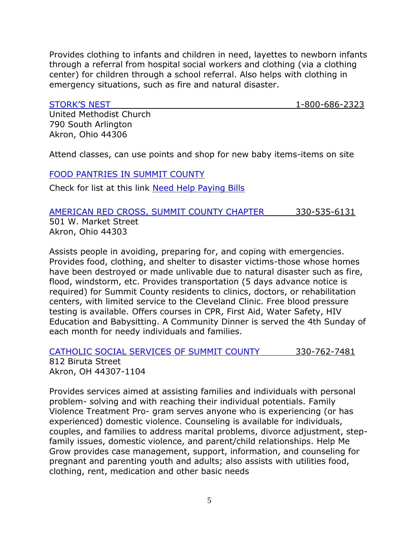Provides clothing to infants and children in need, layettes to newborn infants through a referral from hospital social workers and clothing (via a clothing center) for children through a school referral. Also helps with clothing in emergency situations, such as fire and natural disaster.

[STORK'S NEST](http://www.southarlingtonumc.com/Stork_s_Nest.html) 1-800-686-2323

United Methodist Church 790 South Arlington Akron, Ohio 44306

Attend classes, can use points and shop for new baby items-items on site

#### [FOOD PANTRIES IN SUMMIT COUNTY](http://www.needhelppayingbills.com/html/summit_county_food_banks.html)

Check for list at this link [Need Help Paying Bills](http://www.needhelppayingbills.com/html/summit_county_food_banks.html)

### [AMERICAN RED CROSS, SUMMIT COUNTY CHAPTER](http://www.redcross.org/oh/akron) 330-535-6131 501 W. Market Street Akron, Ohio 44303

Assists people in avoiding, preparing for, and coping with emergencies. Provides food, clothing, and shelter to disaster victims-those whose homes have been destroyed or made unlivable due to natural disaster such as fire, flood, windstorm, etc. Provides transportation (5 days advance notice is required) for Summit County residents to clinics, doctors, or rehabilitation centers, with limited service to the Cleveland Clinic. Free blood pressure testing is available. Offers courses in CPR, First Aid, Water Safety, HIV Education and Babysitting. A Community Dinner is served the 4th Sunday of each month for needy individuals and families.

[CATHOLIC SOCIAL SERVICES OF SUMMIT COUNTY](http://ccdocle.org/summit-county) 330-762-7481 812 Biruta Street Akron, OH 44307-1104

Provides services aimed at assisting families and individuals with personal problem- solving and with reaching their individual potentials. Family Violence Treatment Pro- gram serves anyone who is experiencing (or has experienced) domestic violence. Counseling is available for individuals, couples, and families to address marital problems, divorce adjustment, stepfamily issues, domestic violence, and parent/child relationships. Help Me Grow provides case management, support, information, and counseling for pregnant and parenting youth and adults; also assists with utilities food, clothing, rent, medication and other basic needs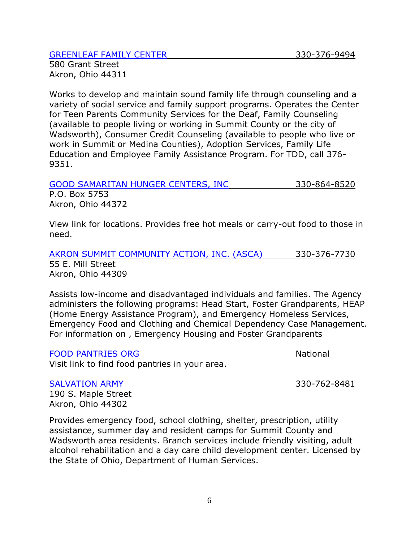#### [GREENLEAF FAMILY CENTER](http://greenleafctr.org/) 330-376-9494

580 Grant Street Akron, Ohio 44311

Works to develop and maintain sound family life through counseling and a variety of social service and family support programs. Operates the Center for Teen Parents Community Services for the Deaf, Family Counseling (available to people living or working in Summit County or the city of Wadsworth), Consumer Credit Counseling (available to people who live or work in Summit or Medina Counties), Adoption Services, Family Life Education and Employee Family Assistance Program. For TDD, call 376- 9351.

[GOOD SAMARITAN HUNGER CENTERS, INC](http://goodsamaritanhungercenter.org/site/our-services/) 330-864-8520 P.O. Box 5753

Akron, Ohio 44372

View link for locations. Provides free hot meals or carry-out food to those in need.

[AKRON SUMMIT COMMUNITY ACTION, INC. \(ASCA\)](http://www.ascainc.org/programs.html) 330-376-7730 55 E. Mill Street Akron, Ohio 44309

Assists low-income and disadvantaged individuals and families. The Agency administers the following programs: Head Start, Foster Grandparents, HEAP (Home Energy Assistance Program), and Emergency Homeless Services, Emergency Food and Clothing and Chemical Dependency Case Management. For information on , Emergency Housing and Foster Grandparents

[FOOD PANTRIES ORG](http://www.foodpantries.org/) National

Visit link to find food pantries in your area.

[SALVATION ARMY](http://oh.salvationarmy.org/Akron-Summit) 330-762-8481

190 S. Maple Street Akron, Ohio 44302

Provides emergency food, school clothing, shelter, prescription, utility assistance, summer day and resident camps for Summit County and Wadsworth area residents. Branch services include friendly visiting, adult alcohol rehabilitation and a day care child development center. Licensed by the State of Ohio, Department of Human Services.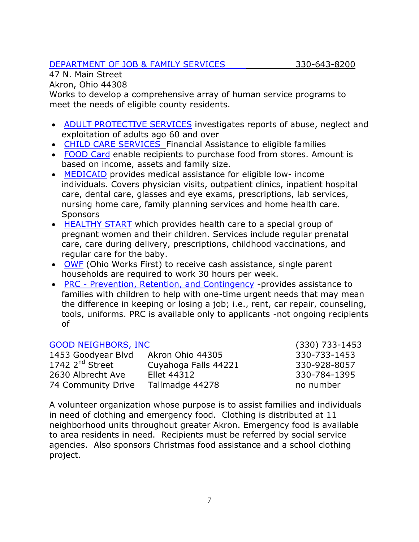### [DEPARTMENT OF JOB & FAMILY SERVICES](https://www.summitdjfs.org/) 330-643-8200

47 N. Main Street Akron, Ohio 44308

Works to develop a comprehensive array of human service programs to meet the needs of eligible county residents.

- [ADULT PROTECTIVE SERVICES](https://www.summitdjfs.org/services/adult-protective-services.html) investigates reports of abuse, neglect and exploitation of adults ago 60 and over
- [CHILD CARE SERVICES](https://www.summitdjfs.org/services/child-care-services.html) Financial Assistance to eligible families
- [FOOD Card](https://www.summitdjfs.org/services/food-assistance.html) enable recipients to purchase food from stores. Amount is based on income, assets and family size.
- [MEDICAID](https://benefits.ohio.gov/) provides medical assistance for eligible low- income individuals. Covers physician visits, outpatient clinics, inpatient hospital care, dental care, glasses and eye exams, prescriptions, lab services, nursing home care, family planning services and home health care. **Sponsors**
- [HEALTHY START](https://www.summitdjfs.org/services/healthy-start-medical-insurance/healthy-start,-healthy-families.html) which provides health care to a special group of pregnant women and their children. Services include regular prenatal care, care during delivery, prescriptions, childhood vaccinations, and regular care for the baby.
- [OWF](https://www.summitdjfs.org/services/ohio-works-first-owf.html) (Ohio Works First) to receive cash assistance, single parent households are required to work 30 hours per week.
- PRC [Prevention, Retention, and Contingency](https://www.summitdjfs.org/services/prevention-retention-and-contingency.html) -provides assistance to families with children to help with one-time urgent needs that may mean the difference in keeping or losing a job; i.e., rent, car repair, counseling, tools, uniforms. PRC is available only to applicants -not ongoing recipients of

| <b>GOOD NEIGHBORS, INC</b>  |                      | $(330)$ 733-1453 |
|-----------------------------|----------------------|------------------|
| 1453 Goodyear Blvd          | Akron Ohio 44305     | 330-733-1453     |
| 1742 2 <sup>nd</sup> Street | Cuyahoga Falls 44221 | 330-928-8057     |
| 2630 Albrecht Ave           | <b>Ellet 44312</b>   | 330-784-1395     |
| 74 Community Drive          | Tallmadge 44278      | no number        |

A volunteer organization whose purpose is to assist families and individuals in need of clothing and emergency food. Clothing is distributed at 11 neighborhood units throughout greater Akron. Emergency food is available to area residents in need. Recipients must be referred by social service agencies. Also sponsors Christmas food assistance and a school clothing project.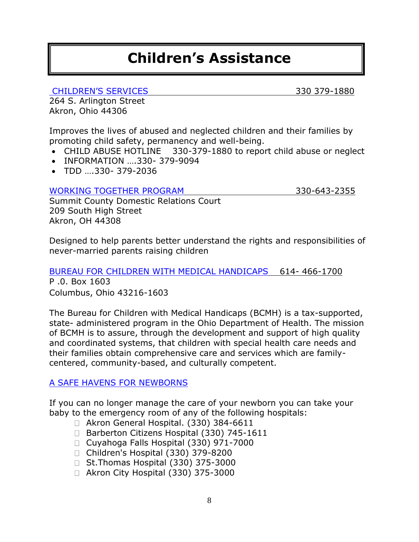# **Children's Assistance**

[CHILDREN'S SERVICES](http://www.summitkids.org/) 330 379-1880

264 S. Arlington Street Akron, Ohio 44306

Improves the lives of abused and neglected children and their families by promoting child safety, permanency and well-being.

- CHILD ABUSE HOTLINE 330-379-1880 to report child abuse or neglect
- INFORMATION ....330-379-9094
- TDD ….330- 379-2036

[WORKING TOGETHER PROGRAM](http://drcourt.org/wp/programs/) 330-643-2355

Summit County Domestic Relations Court 209 South High Street Akron, OH 44308

Designed to help parents better understand the rights and responsibilities of never-married parents raising children

[BUREAU FOR CHILDREN WITH MEDICAL HANDICAPS](http://www.odh.ohio.gov/odhprograms/cmh/cwmh/bcmh1.aspx) 614- 466-1700 P .0. Box 1603 Columbus, Ohio 43216-1603

The Bureau for Children with Medical Handicaps (BCMH) is a tax-supported, state- administered program in the Ohio Department of Health. The mission of BCMH is to assure, through the development and support of high quality and coordinated systems, that children with special health care needs and their families obtain comprehensive care and services which are familycentered, community-based, and culturally competent.

### A SAFE HAVENS [FOR NEWBORNS](http://www.summitkids.org/FosterCare,AdoptionKinship/OhiosSafeHavenforNewbornsProgram/tabid/159/Default.aspx)

If you can no longer manage the care of your newborn you can take your baby to the emergency room of any of the following hospitals:

- □ Akron General Hospital. (330) 384-6611
- □ Barberton Citizens Hospital (330) 745-1611
- Cuyahoga Falls Hospital (330) 971-7000
- □ Children's Hospital (330) 379-8200
- $\Box$  St.Thomas Hospital (330) 375-3000
- □ Akron City Hospital (330) 375-3000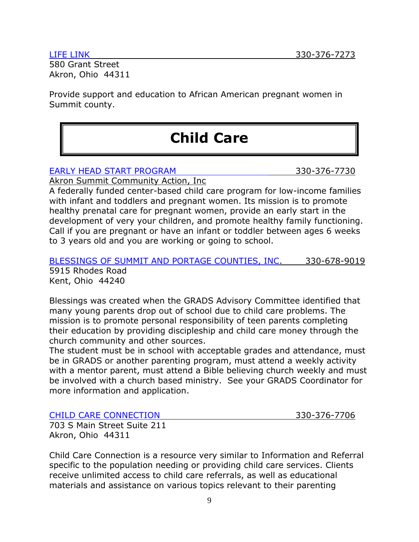580 Grant Street Akron, Ohio 44311

Provide support and education to African American pregnant women in Summit county.

# **Child Care**

#### [EARLY HEAD START PROGRAM](http://www.ascainc.org/headstart.html) 330-376-7730

Akron Summit Community Action, Inc

A federally funded center-based child care program for low-income families with infant and toddlers and pregnant women. Its mission is to promote healthy prenatal care for pregnant women, provide an early start in the development of very your children, and promote healthy family functioning. Call if you are pregnant or have an infant or toddler between ages 6 weeks to 3 years old and you are working or going to school.

[BLESSINGS OF SUMMIT AND PORTAGE COUNTIES, INC.](http://www.graceinkent.org/blessings) 330-678-9019 5915 Rhodes Road Kent, Ohio 44240

Blessings was created when the GRADS Advisory Committee identified that many young parents drop out of school due to child care problems. The mission is to promote personal responsibility of teen parents completing their education by providing discipleship and child care money through the church community and other sources.

The student must be in school with acceptable grades and attendance, must be in GRADS or another parenting program, must attend a weekly activity with a mentor parent, must attend a Bible believing church weekly and must be involved with a church based ministry. See your GRADS Coordinator for more information and application.

[CHILD CARE CONNECTION](http://www.childcare-connection.org/) 330-376-7706

703 S Main Street Suite 211 Akron, Ohio 44311

Child Care Connection is a resource very similar to Information and Referral specific to the population needing or providing child care services. Clients receive unlimited access to child care referrals, as well as educational materials and assistance on various topics relevant to their parenting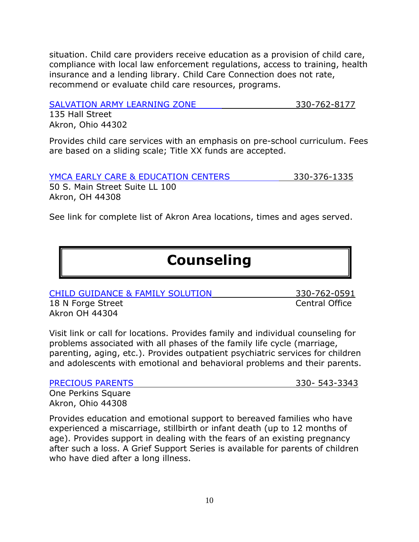situation. Child care providers receive education as a provision of child care, compliance with local law enforcement regulations, access to training, health insurance and a lending library. Child Care Connection does not rate, recommend or evaluate child care resources, programs.

[SALVATION ARMY LEARNING ZONE](http://childcarecenter.us/provider_detail/the_salvation_army_learning_zone_preschool_child_care_akron_oh) 330-762-8177

135 Hall Street Akron, Ohio 44302

Provides child care services with an emphasis on pre-school curriculum. Fees are based on a sliding scale; Title XX funds are accepted.

[YMCA EARLY CARE & EDUCATION CENTERS](http://www.akronymca.org/Focus/YouthDevelopment/ChildCare/) 330-376-1335

50 S. Main Street Suite LL 100 Akron, OH 44308

See link for complete list of Akron Area locations, times and ages served.

# **Counseling**

[CHILD GUIDANCE & FAMILY SOLUTION](http://www.cgfs.org/home/) 330-762-0591

18 N Forge Street **Central Office** Akron OH 44304

Visit link or call for locations. Provides family and individual counseling for problems associated with all phases of the family life cycle (marriage, parenting, aging, etc.). Provides outpatient psychiatric services for children and adolescents with emotional and behavioral problems and their parents.

[PRECIOUS PARENTS](https://www.akronchildrens.org/cms/precious_parents/) 330-543-3343

One Perkins Square Akron, Ohio 44308

Provides education and emotional support to bereaved families who have experienced a miscarriage, stillbirth or infant death (up to 12 months of age). Provides support in dealing with the fears of an existing pregnancy after such a loss. A Grief Support Series is available for parents of children who have died after a long illness.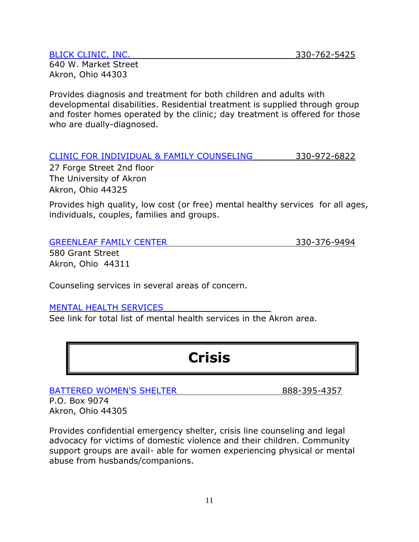#### [BLICK CLINIC, INC.](http://www.blickclinic.org/) 330-762-5425

640 W. Market Street Akron, Ohio 44303

Provides diagnosis and treatment for both children and adults with developmental disabilities. Residential treatment is supplied through group and foster homes operated by the clinic; day treatment is offered for those who are dually-diagnosed.

| CLINIC FOR INDIVIDUAL & FAMILY COUNSELING | 330-972-6822 |
|-------------------------------------------|--------------|
|-------------------------------------------|--------------|

27 Forge Street 2nd floor The University of Akron Akron, Ohio 44325

Provides high quality, low cost (or free) mental healthy services for all ages, individuals, couples, families and groups.

|--|

330-376-9494

580 Grant Street Akron, Ohio 44311

Counseling services in several areas of concern.

### [MENTAL HEALTH SERVICES](http://www.yellowpages.com/akron-oh/mental-health-services)

See link for total list of mental health services in the Akron area.

# **Crisis**

[BATTERED WOMEN'S SHELTER](http://www.scmcbws.org/) 888-395-4357 P.O. Box 9074

Akron, Ohio 44305

Provides confidential emergency shelter, crisis line counseling and legal advocacy for victims of domestic violence and their children. Community support groups are avail- able for women experiencing physical or mental abuse from husbands/companions.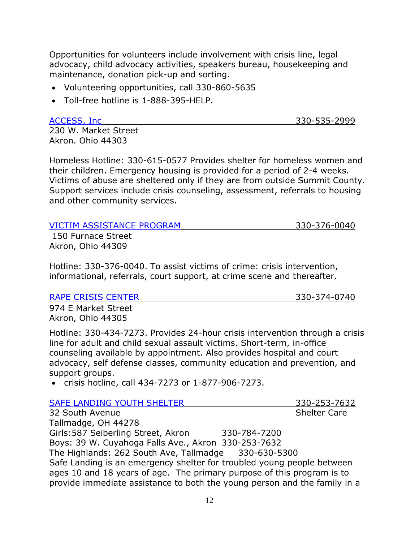Opportunities for volunteers include involvement with crisis line, legal advocacy, child advocacy activities, speakers bureau, housekeeping and maintenance, donation pick-up and sorting.

- Volunteering opportunities, call 330-860-5635
- Toll-free hotline is 1-888-395-HELP.

[ACCESS, Inc](http://www.access-shelter.org/) 330-535-2999

230 W. Market Street Akron. Ohio 44303

Homeless Hotline: 330-615-0577 Provides shelter for homeless women and their children. Emergency housing is provided for a period of 2-4 weeks. Victims of abuse are sheltered only if they are from outside Summit County. Support services include crisis counseling, assessment, referrals to housing and other community services.

| <b>VICTIM ASSISTANCE PROGRAM</b> | 330-376-0040 |
|----------------------------------|--------------|
| 150 Furnace Street               |              |
| Akron, Ohio 44309                |              |

Hotline: 330-376-0040. To assist victims of crime: crisis intervention, informational, referrals, court support, at crime scene and thereafter.

### [RAPE CRISIS CENTER](http://www.rccmsc.org/i-need-help/hotline.aspx) 330-374-0740

974 E Market Street Akron, Ohio 44305

Hotline: 330-434-7273. Provides 24-hour crisis intervention through a crisis line for adult and child sexual assault victims. Short-term, in-office counseling available by appointment. Also provides hospital and court advocacy, self defense classes, community education and prevention, and support groups.

crisis hotline, call 434-7273 or 1-877-906-7273.

| SAFE LANDING YOUTH SHELTER                                                | 330-253-7632        |  |
|---------------------------------------------------------------------------|---------------------|--|
| 32 South Avenue                                                           | <b>Shelter Care</b> |  |
| Tallmadge, OH 44278                                                       |                     |  |
| Girls: 587 Seiberling Street, Akron<br>330-784-7200                       |                     |  |
| Boys: 39 W. Cuyahoga Falls Ave., Akron 330-253-7632                       |                     |  |
| The Highlands: 262 South Ave, Tallmadge 330-630-5300                      |                     |  |
| Safe Landing is an emergency shelter for troubled young people between    |                     |  |
| ages 10 and 18 years of age. The primary purpose of this program is to    |                     |  |
| provide immediate assistance to both the young person and the family in a |                     |  |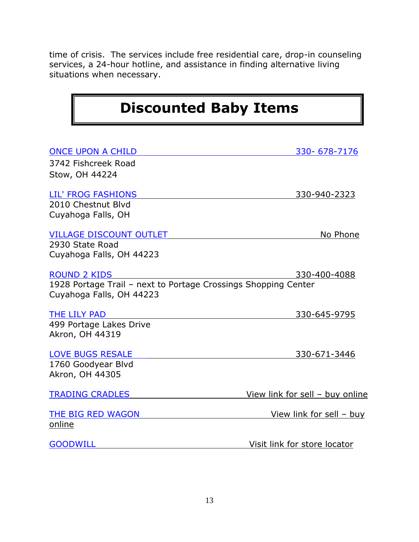time of crisis. The services include free residential care, drop-in counseling services, a 24-hour hotline, and assistance in finding alternative living situations when necessary.

# **Discounted Baby Items**

| <b>ONCE UPON A CHILD</b>                                                                   | 330-678-7176                    |
|--------------------------------------------------------------------------------------------|---------------------------------|
| 3742 Fishcreek Road                                                                        |                                 |
| Stow, OH 44224                                                                             |                                 |
| LIL' FROG FASHIONS                                                                         | 330-940-2323                    |
| 2010 Chestnut Blvd                                                                         |                                 |
| Cuyahoga Falls, OH                                                                         |                                 |
| <b>VILLAGE DISCOUNT OUTLET</b>                                                             | No Phone                        |
| 2930 State Road                                                                            |                                 |
| Cuyahoga Falls, OH 44223                                                                   |                                 |
| <b>ROUND 2 KIDS</b>                                                                        | 330-400-4088                    |
| 1928 Portage Trail - next to Portage Crossings Shopping Center<br>Cuyahoga Falls, OH 44223 |                                 |
| THE LILY PAD                                                                               | 330-645-9795                    |
| 499 Portage Lakes Drive                                                                    |                                 |
| <b>Akron, OH 44319</b>                                                                     |                                 |
| <b>LOVE BUGS RESALE</b>                                                                    | 330-671-3446                    |
| 1760 Goodyear Blvd                                                                         |                                 |
| Akron, OH 44305                                                                            |                                 |
| <b>TRADING CRADLES</b>                                                                     | View link for sell - buy online |
| THE BIG RED WAGON                                                                          | <u>View link for sell - buy</u> |
| online                                                                                     |                                 |
| <b>GOODWILL</b>                                                                            | Visit link for store locator    |
|                                                                                            |                                 |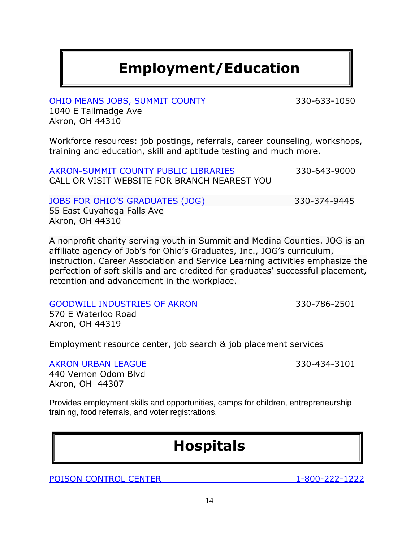# **Employment/Education**

[OHIO MEANS JOBS, SUMMIT COUNTY](https://www.summitomj.org/who-we-serve/individuals) 330-633-1050

1040 E Tallmadge Ave Akron, OH 44310

Workforce resources: job postings, referrals, career counseling, workshops, training and education, skill and aptitude testing and much more.

[AKRON-SUMMIT COUNTY PUBLIC](http://www.akronlibrary.org/) LIBRARIES 330-643-9000 CALL OR VISIT WEBSITE FOR BRANCH NEAREST YOU

JOBS FOR OHIO'S [GRADUATES \(JOG\)](http://www.jogworks.org/index.html) 330-374-9445

55 East Cuyahoga Falls Ave Akron, OH 44310

A nonprofit charity serving youth in Summit and Medina Counties. JOG is an affiliate agency of Job's for Ohio's Graduates, Inc., JOG's curriculum, instruction, Career Association and Service Learning activities emphasize the perfection of soft skills and are credited for graduates' successful placement, retention and advancement in the workplace.

[GOODWILL INDUSTRIES OF AKRON](http://www.goodwillakron.org/programs-employment/community-resources/summit-county) 330-786-2501

570 E Waterloo Road Akron, OH 44319

Employment resource center, job search & job placement services

### [AKRON URBAN LEAGUE](http://www.akronurbanleague.org/) 330-434-3101

440 Vernon Odom Blvd Akron, OH 44307

Provides employment skills and opportunities, camps for children, entrepreneurship training, food referrals, and voter registrations.

# **Hospitals**

[POISON CONTROL CENTER](http://www.aapcc.org/) 1-800-222-1222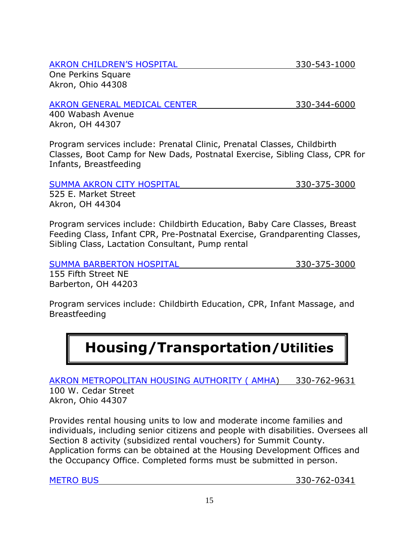### [AKRON CHILDREN'S HOSPITAL](https://www.akronchildrens.org/cms/home/index.html) 330-543-1000

One Perkins Square Akron, Ohio 44308

### [AKRON GENERAL MEDICAL CENTER](http://www.akrongeneral.org/portal/page/portal/AGMC_PAGEGROUP/AGMC_PAGE?gclid=Cj0KEQjwifWnBRCB5PT57KSVw-kBEiQASV7aRAuw1Lf_KqJWZV4abirFBlnJo11KQAGUQWCOU2T6Ec8aAqAD8P8HAQ) 330-344-6000

400 Wabash Avenue Akron, OH 44307

Program services include: Prenatal Clinic, Prenatal Classes, Childbirth Classes, Boot Camp for New Dads, Postnatal Exercise, Sibling Class, CPR for Infants, Breastfeeding

| <b>SUMMA AKRON CITY HOSPITAL</b> | 330-375-3000 |
|----------------------------------|--------------|
| 525 E. Market Street             |              |
| Akron, OH 44304                  |              |

Program services include: Childbirth Education, Baby Care Classes, Breast Feeding Class, Infant CPR, Pre-Postnatal Exercise, Grandparenting Classes, Sibling Class, Lactation Consultant, Pump rental

[SUMMA BARBERTON HOSPITAL](http://www.summahealth.org/locations/hospitals/barberton) 330-375-3000

155 Fifth Street NE Barberton, OH 44203

Program services include: Childbirth Education, CPR, Infant Massage, and Breastfeeding

# **Housing/Transportation/Utilities**

[AKRON METROPOLITAN HOUSING AUTHORITY \( AMHA\)](http://www.akronhousing.org/index2.aspx) 330-762-9631 100 W. Cedar Street

Akron, Ohio 44307

Provides rental housing units to low and moderate income families and individuals, including senior citizens and people with disabilities. Oversees all Section 8 activity (subsidized rental vouchers) for Summit County. Application forms can be obtained at the Housing Development Offices and the Occupancy Office. Completed forms must be submitted in person.

[METRO BUS](http://www.akronmetro.org/metro-maps-schedules.aspx) 330-762-0341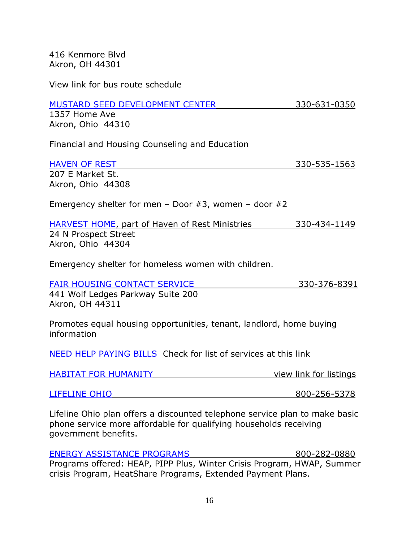416 Kenmore Blvd Akron, OH 44301

View link for bus route schedule

#### [MUSTARD SEED DEVELOPMENT CENTER](http://www.mustardseedcdc.com/) 330-631-0350

1357 Home Ave Akron, Ohio 44310

Financial and Housing Counseling and Education

| <b>HAVEN OF REST</b> | 330-535-1563 |
|----------------------|--------------|
| 207 E Market St.     |              |
| Akron, Ohio 44308    |              |

Emergency shelter for men – Door  $#3$ , women – door  $#2$ 

[HARVEST HOME,](http://www.homelessshelterdirectory.org/cgi-bin/id/shelter.cgi?shelter=11210) part of Haven of Rest Ministries 330-434-1149 24 N Prospect Street Akron, Ohio 44304

Emergency shelter for homeless women with children.

[FAIR HOUSING CONTACT](http://fairhousingakron.org/) SERVICE 330-376-8391

441 Wolf Ledges Parkway Suite 200 Akron, OH 44311

Promotes equal housing opportunities, tenant, landlord, home buying information

[NEED HELP PAYING BILLS](http://www.needhelppayingbills.com/html/need_help_with_electric_bills.html) Check for list of services at this link

| <b>HABITAT FOR HUMANITY</b> | view link for listings |
|-----------------------------|------------------------|
|                             |                        |

Lifeline Ohio plan offers a discounted telephone service plan to make basic phone service more affordable for qualifying households receiving government benefits.

[ENERGY ASSISTANCE PROGRAMS](http://www.puco.ohio.gov/puco/index.cfm/consumer-information/consumer-topics/energy-assistance-programs-help-with-paying-your-utility-bills/#sthash.TCnIgdsf.dpbs) 800-282-0880 Programs offered: HEAP, PIPP Plus, Winter Crisis Program, HWAP, Summer crisis Program, HeatShare Programs, Extended Payment Plans.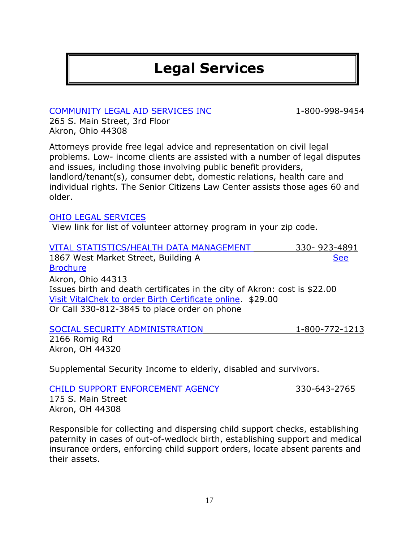# **Legal Services**

[COMMUNITY LEGAL AID SERVICES INC](http://www.communitylegalaid.org/) 1-800-998-9454

265 S. Main Street, 3rd Floor Akron, Ohio 44308

Attorneys provide free legal advice and representation on civil legal problems. Low- income clients are assisted with a number of legal disputes and issues, including those involving public benefit providers, landlord/tenant(s), consumer debt, domestic relations, health care and individual rights. The Senior Citizens Law Center assists those ages 60 and older.

### [OHIO LEGAL SERVICES](http://www.ohiolegalservices.org/public/legal_problem)

View link for list of volunteer attorney program in your zip code.

| 330-923-4891                                                              |
|---------------------------------------------------------------------------|
| <b>See</b>                                                                |
|                                                                           |
|                                                                           |
| Issues birth and death certificates in the city of Akron: cost is \$22.00 |
|                                                                           |
|                                                                           |
|                                                                           |

### [SOCIAL SECURITY ADMINISTRATION](http://www.ssa.gov/) 1-800-772-1213 2166 Romig Rd Akron, OH 44320

Supplemental Security Income to elderly, disabled and survivors.

| CHILD SUPPORT ENFORCEMENT AGENCY | 330-643-2765 |
|----------------------------------|--------------|
| 175 S. Main Street               |              |
| Akron, OH 44308                  |              |

Responsible for collecting and dispersing child support checks, establishing paternity in cases of out-of-wedlock birth, establishing support and medical insurance orders, enforcing child support orders, locate absent parents and their assets.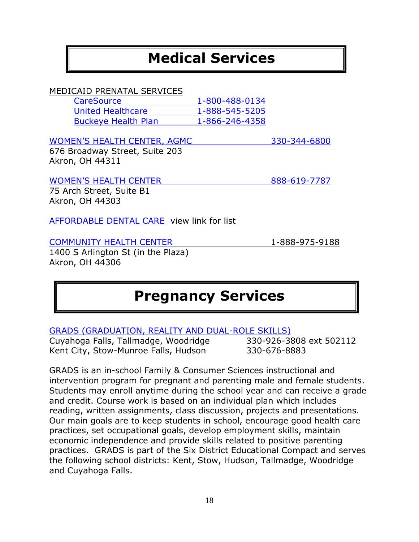# **Medical Services**

### MEDICAID PRENATAL SERVICES

| CareSource                 | 1-800-488-0134 |
|----------------------------|----------------|
| <b>United Healthcare</b>   | 1-888-545-5205 |
| <b>Buckeye Health Plan</b> | 1-866-246-4358 |

### [WOMEN'S HEALTH CEN](http://www.akrongeneral.org/portal/page/portal/AGMC_PAGEGROUP/Patient_and_visitor_information/patient_and_visitor_information_com/akron_health_center)TER, AGMC 330-344-6800 676 Broadway Street, Suite 203 Akron, OH 44311

#### [WOMEN'S HEALTH CENTER](http://www.summahealth.org/medicalservices/womens/gettinghelp/womenshealthcenter) 888-619-7787

75 Arch Street, Suite B1 Akron, OH 44303

[AFFORDABLE DENTAL CARE](http://www.needhelppayingbills.com/html/ohio_free_dental_centers.html) view link for list

### [COMMUNITY HEALTH CENTER](http://health-centers.healthgrove.com/l/2767/Axesspointe-Community-Health-Center-akron) 1-888-975-9188

1400 S Arlington St (in the Plaza) Akron, OH 44306

# **Pregnancy Services**

GRADS [\(GRADUATION, REALITY AND DUAL-ROLE SKILLS\)](http://www.sixdistrict.com/grads.htm)

Cuyahoga Falls, Tallmadge, Woodridge 330-926-3808 ext 502112 Kent City, Stow-Munroe Falls, Hudson 330-676-8883

GRADS is an in-school Family & Consumer Sciences instructional and intervention program for pregnant and parenting male and female students. Students may enroll anytime during the school year and can receive a grade and credit. Course work is based on an individual plan which includes reading, written assignments, class discussion, projects and presentations. Our main goals are to keep students in school, encourage good health care practices, set occupational goals, develop employment skills, maintain economic independence and provide skills related to positive parenting practices. GRADS is part of the Six District Educational Compact and serves the following school districts: Kent, Stow, Hudson, Tallmadge, Woodridge and Cuyahoga Falls.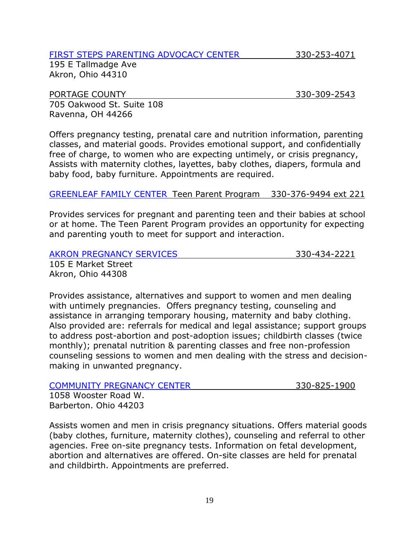### [FIRST STEPS PARENTING ADVOCACY CENTER](http://www.fspacenter.com/) 330-253-4071

195 E Tallmadge Ave Akron, Ohio 44310

# PORTAGE COUNTY **330-309-2543**

705 Oakwood St. Suite 108 Ravenna, OH 44266

Offers pregnancy testing, prenatal care and nutrition information, parenting classes, and material goods. Provides emotional support, and confidentially free of charge, to women who are expecting untimely, or crisis pregnancy, Assists with maternity clothes, layettes, baby clothes, diapers, formula and baby food, baby furniture. Appointments are required.

### [GREENLEAF FAMILY CENTER](http://greenleafctr.org/children-adolescent-programs/) Teen Parent Program 330-376-9494 ext 221

Provides services for pregnant and parenting teen and their babies at school or at home. The Teen Parent Program provides an opportunity for expecting and parenting youth to meet for support and interaction.

#### [AKRON PREGNANCY SERVICES](http://www.akronpregnancyservices.com/) 330-434-2221

105 E Market Street Akron, Ohio 44308

Provides assistance, alternatives and support to women and men dealing with untimely pregnancies. Offers pregnancy testing, counseling and assistance in arranging temporary housing, maternity and baby clothing. Also provided are: referrals for medical and legal assistance; support groups to address post-abortion and post-adoption issues; childbirth classes (twice monthly); prenatal nutrition & parenting classes and free non-profession counseling sessions to women and men dealing with the stress and decisionmaking in unwanted pregnancy.

| <b>COMMUNITY PREGNANCY CENTER</b> | 330-825-1900 |
|-----------------------------------|--------------|
| 1058 Wooster Road W.              |              |
| Barberton. Ohio 44203             |              |

Assists women and men in crisis pregnancy situations. Offers material goods (baby clothes, furniture, maternity clothes), counseling and referral to other agencies. Free on-site pregnancy tests. Information on fetal development, abortion and alternatives are offered. On-site classes are held for prenatal and childbirth. Appointments are preferred.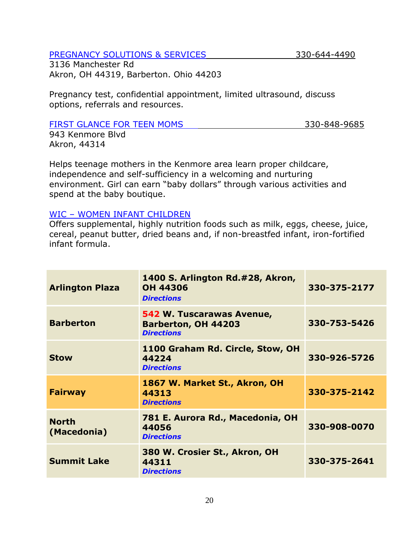### [PREGNANCY SOLUTIONS & SERVICES](http://www.pregsolutions.org/) 330-644-4490

3136 Manchester Rd Akron, OH 44319, Barberton. Ohio 44203

Pregnancy test, confidential appointment, limited ultrasound, discuss options, referrals and resources.

### [FIRST GLANCE FOR TEEN MOMS](http://www.firstglance.org/teenmoms) 330-848-9685

943 Kenmore Blvd Akron, 44314

Helps teenage mothers in the Kenmore area learn proper childcare, independence and self-sufficiency in a welcoming and nurturing environment. Girl can earn "baby dollars" through various activities and spend at the baby boutique.

### WIC – [WOMEN INFANT CHILDREN](http://www.scphoh.org/CLINIC/CLIN-WIC.html)

Offers supplemental, highly nutrition foods such as milk, eggs, cheese, juice, cereal, peanut butter, dried beans and, if non-breastfed infant, iron-fortified infant formula.

| <b>Arlington Plaza</b>      | 1400 S. Arlington Rd.#28, Akron,<br><b>OH 44306</b><br><b>Directions</b>     | 330-375-2177 |
|-----------------------------|------------------------------------------------------------------------------|--------------|
| <b>Barberton</b>            | 542 W. Tuscarawas Avenue,<br><b>Barberton, OH 44203</b><br><b>Directions</b> | 330-753-5426 |
| <b>Stow</b>                 | 1100 Graham Rd. Circle, Stow, OH<br>44224<br><b>Directions</b>               | 330-926-5726 |
| <b>Fairway</b>              | 1867 W. Market St., Akron, OH<br>44313<br><b>Directions</b>                  | 330-375-2142 |
| <b>North</b><br>(Macedonia) | 781 E. Aurora Rd., Macedonia, OH<br>44056<br><b>Directions</b>               | 330-908-0070 |
| <b>Summit Lake</b>          | 380 W. Crosier St., Akron, OH<br>44311<br><b>Directions</b>                  | 330-375-2641 |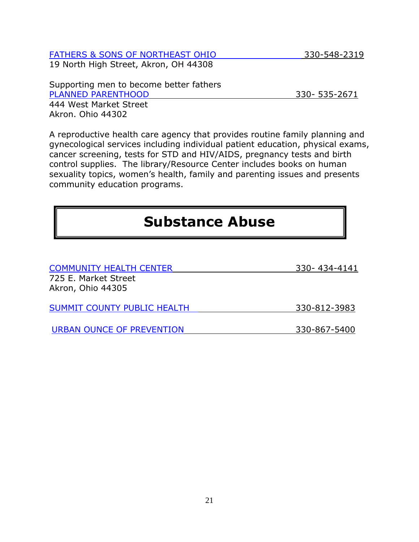### [FATHERS & SONS OF NORTHEAST OHIO](http://fathersandsonsneo.org/) 330-548-2319

19 North High Street, Akron, OH 44308

Supporting men to become better fathers [PLANNED PARENTHOOD](http://www.plannedparenthood.org/health-center/ohio/akron/44302/akron-health-center-3344-91230) 330- 535-2671 444 West Market Street Akron. Ohio 44302

A reproductive health care agency that provides routine family planning and gynecological services including individual patient education, physical exams, cancer screening, tests for STD and HIV/AIDS, pregnancy tests and birth control supplies. The library/Resource Center includes books on human sexuality topics, women's health, family and parenting issues and presents community education programs.

## **Substance Abuse**

| <b>COMMUNITY HEALTH CENTER</b>     | 330-434-4141 |
|------------------------------------|--------------|
| 725 E. Market Street               |              |
| Akron, Ohio 44305                  |              |
|                                    |              |
| <b>SUMMIT COUNTY PUBLIC HEALTH</b> | 330-812-3983 |
|                                    |              |
| URBAN OUNCE OF PREVENTION          | 330-867-5400 |